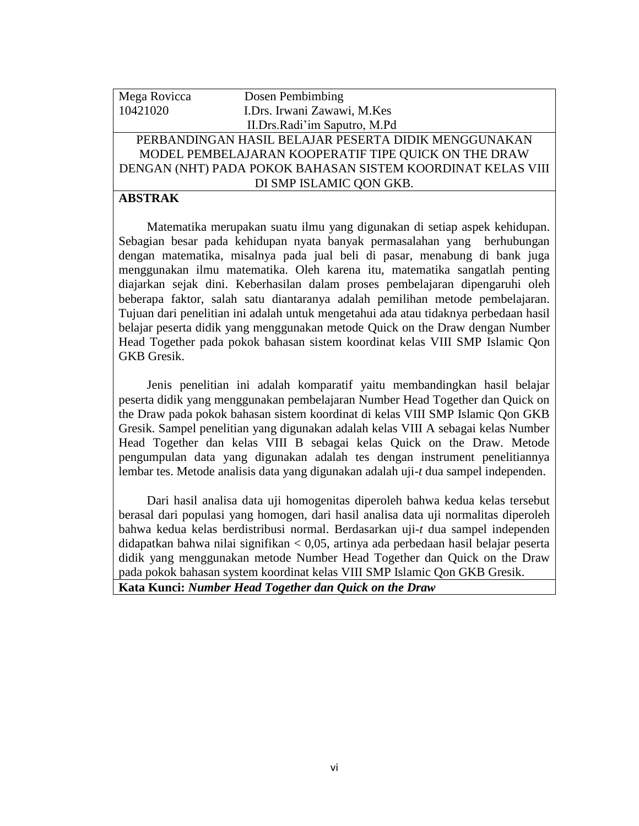## Mega Rovicca Dosen Pembimbing 10421020 I.Drs. Irwani Zawawi, M.Kes II.Drs.Radi'im Saputro, M.Pd PERBANDINGAN HASIL BELAJAR PESERTA DIDIK MENGGUNAKAN MODEL PEMBELAJARAN KOOPERATIF TIPE QUICK ON THE DRAW DENGAN (NHT) PADA POKOK BAHASAN SISTEM KOORDINAT KELAS VIII DI SMP ISLAMIC QON GKB.

## **ABSTRAK**

Matematika merupakan suatu ilmu yang digunakan di setiap aspek kehidupan. Sebagian besar pada kehidupan nyata banyak permasalahan yang berhubungan dengan matematika, misalnya pada jual beli di pasar, menabung di bank juga menggunakan ilmu matematika. Oleh karena itu, matematika sangatlah penting diajarkan sejak dini. Keberhasilan dalam proses pembelajaran dipengaruhi oleh beberapa faktor, salah satu diantaranya adalah pemilihan metode pembelajaran. Tujuan dari penelitian ini adalah untuk mengetahui ada atau tidaknya perbedaan hasil belajar peserta didik yang menggunakan metode Quick on the Draw dengan Number Head Together pada pokok bahasan sistem koordinat kelas VIII SMP Islamic Qon GKB Gresik.

Jenis penelitian ini adalah komparatif yaitu membandingkan hasil belajar peserta didik yang menggunakan pembelajaran Number Head Together dan Quick on the Draw pada pokok bahasan sistem koordinat di kelas VIII SMP Islamic Qon GKB Gresik. Sampel penelitian yang digunakan adalah kelas VIII A sebagai kelas Number Head Together dan kelas VIII B sebagai kelas Quick on the Draw. Metode pengumpulan data yang digunakan adalah tes dengan instrument penelitiannya lembar tes. Metode analisis data yang digunakan adalah uji-*t* dua sampel independen.

Dari hasil analisa data uji homogenitas diperoleh bahwa kedua kelas tersebut berasal dari populasi yang homogen, dari hasil analisa data uji normalitas diperoleh bahwa kedua kelas berdistribusi normal. Berdasarkan uji-*t* dua sampel independen didapatkan bahwa nilai signifikan < 0,05, artinya ada perbedaan hasil belajar peserta didik yang menggunakan metode Number Head Together dan Quick on the Draw pada pokok bahasan system koordinat kelas VIII SMP Islamic Qon GKB Gresik. **Kata Kunci:** *Number Head Together dan Quick on the Draw*

vi